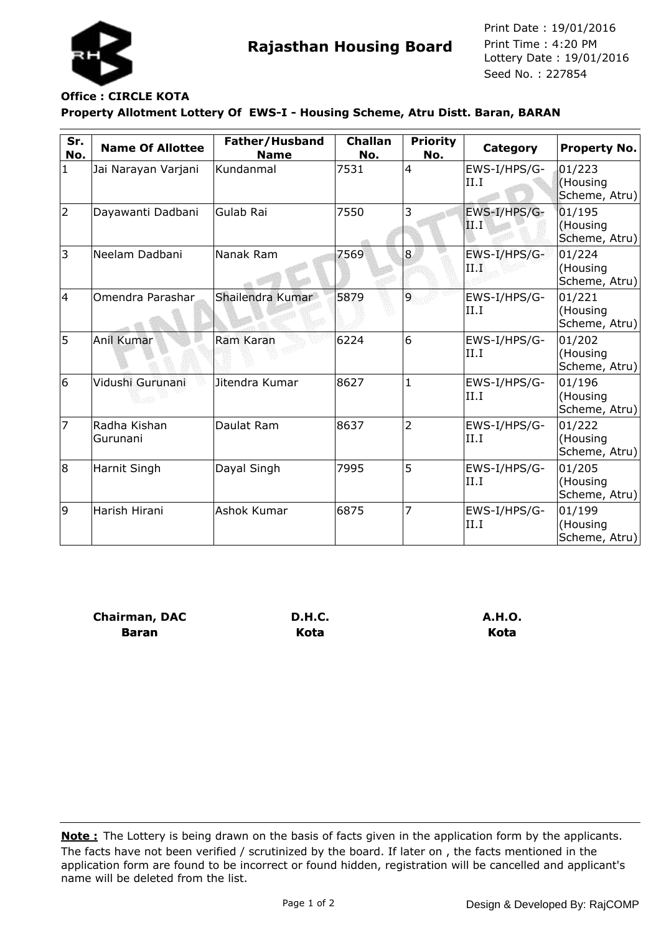

**Rajasthan Housing Board** Print Time : 4:20 PM<br>Lottery Date : 19/01/2016 Seed No. : 227854 Print Date : 19/01/2016 Print Time : 4:20 PM

## **Property Allotment Lottery Of EWS-I - Housing Scheme, Atru Distt. Baran, BARAN Office : CIRCLE KOTA**

| Sr.<br>No. | <b>Name Of Allottee</b>  | Father/Husband<br><b>Name</b> | <b>Challan</b><br>No. | <b>Priority</b><br>No. | Category             | <b>Property No.</b>                 |
|------------|--------------------------|-------------------------------|-----------------------|------------------------|----------------------|-------------------------------------|
| 1          | Jai Narayan Varjani      | Kundanmal                     | 7531                  | 4                      | EWS-I/HPS/G-<br>II.I | 01/223<br>(Housing<br>Scheme, Atru) |
| 2          | Dayawanti Dadbani        | Gulab Rai                     | 7550                  | 3                      | EWS-I/HPS/G-<br>II.I | 01/195<br>(Housing<br>Scheme, Atru) |
| 3          | Neelam Dadbani           | Nanak Ram                     | 7569                  | 8                      | EWS-I/HPS/G-<br>ПD   | 01/224<br>(Housing<br>Scheme, Atru) |
| 4          | Omendra Parashar         | Shailendra Kumar              | 5879                  | $\overline{9}$         | EWS-I/HPS/G-<br>II.I | 01/221<br>(Housing<br>Scheme, Atru) |
| 5          | Anil Kumar               | <b>Ram Karan</b>              | 6224                  | 6                      | EWS-I/HPS/G-<br>II.I | 01/202<br>(Housing<br>Scheme, Atru) |
| 6          | Vidushi Gurunani         | Jitendra Kumar                | 8627                  | $\mathbf{1}$           | EWS-I/HPS/G-<br>II.I | 01/196<br>(Housing<br>Scheme, Atru) |
| 7          | Radha Kishan<br>Gurunani | Daulat Ram                    | 8637                  | $\overline{2}$         | EWS-I/HPS/G-<br>II.I | 01/222<br>(Housing<br>Scheme, Atru) |
| 8          | Harnit Singh             | Dayal Singh                   | 7995                  | 5                      | EWS-I/HPS/G-<br>II.I | 01/205<br>(Housing<br>Scheme, Atru) |
| 9          | Harish Hirani            | Ashok Kumar                   | 6875                  | $\overline{7}$         | EWS-I/HPS/G-<br>II.I | 01/199<br>(Housing<br>Scheme, Atru) |

**Chairman, DAC Baran**

**D.H.C. Kota**

**A.H.O. Kota**

The facts have not been verified / scrutinized by the board. If later on , the facts mentioned in the application form are found to be incorrect or found hidden, registration will be cancelled and applicant's name will be deleted from the list. **Note :** The Lottery is being drawn on the basis of facts given in the application form by the applicants.